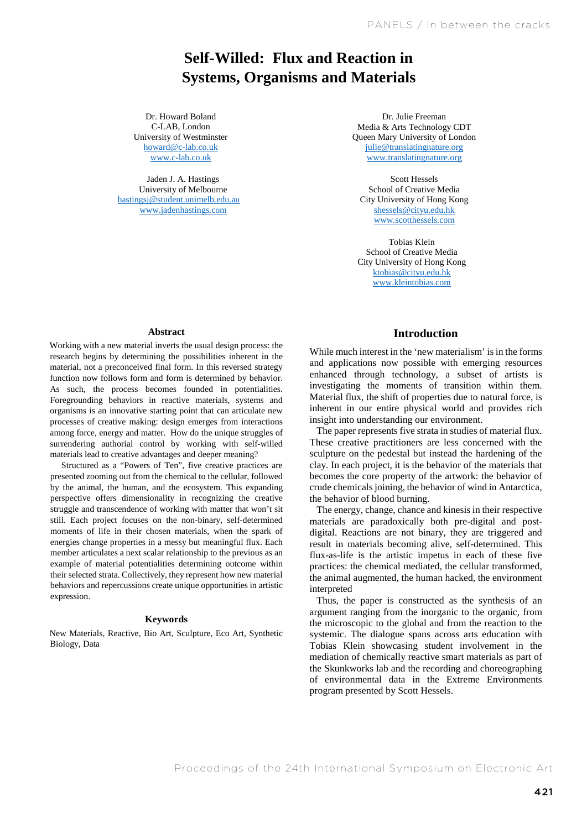# **Self-Willed: Flux and Reaction in Systems, Organisms and Materials**

University of Westminster C-LAB, London howard@c-lab.co.uk www.c-lab.co.uk

Jaden J. A. Hastings University of Melbourne hastingsj@student.unimelb.edu.au www.jadenhastings.com

*Bye Bye Binary: Flux and Reaction in Materials, Organisms and*  Dr. Howard Boland C-LAB, London Media & Arts Technology CDT Dr. Julie Freeman Queen Mary University of London julie@translatingnature.org www.translatingnature.org

> Scott Hessels School of Creative Media City University of Hong Kong shessels@cityu.edu.hk www.scotthessels.com

Tobias Klein School of Creative Media City University of Hong Kong ktobias@cityu.edu.hk www.kleintobias.com

#### **Abstract**

Working with a new material inverts the usual design process: the research begins by determining the possibilities inherent in the material, not a preconceived final form. In this reversed strategy function now follows form and form is determined by behavior. As such, the process becomes founded in potentialities. Foregrounding behaviors in reactive materials, systems and organisms is an innovative starting point that can articulate new processes of creative making: design emerges from interactions among force, energy and matter. How do the unique struggles of surrendering authorial control by working with self-willed materials lead to creative advantages and deeper meaning?

Structured as a "Powers of Ten", five creative practices are presented zooming out from the chemical to the cellular, followed by the animal, the human, and the ecosystem. This expanding perspective offers dimensionality in recognizing the creative struggle and transcendence of working with matter that won't sit still. Each project focuses on the non-binary, self-determined moments of life in their chosen materials, when the spark of energies change properties in a messy but meaningful flux. Each member articulates a next scalar relationship to the previous as an example of material potentialities determining outcome within their selected strata. Collectively, they represent how new material behaviors and repercussions create unique opportunities in artistic expression.

#### **Keywords**

New Materials, Reactive, Bio Art, Sculpture, Eco Art, Synthetic Biology, Data

# **Introduction**

While much interest in the 'new materialism' is in the forms and applications now possible with emerging resources enhanced through technology, a subset of artists is investigating the moments of transition within them. Material flux, the shift of properties due to natural force, is inherent in our entire physical world and provides rich insight into understanding our environment.

The paper represents five strata in studies of material flux. These creative practitioners are less concerned with the sculpture on the pedestal but instead the hardening of the clay. In each project, it is the behavior of the materials that becomes the core property of the artwork: the behavior of crude chemicals joining, the behavior of wind in Antarctica, the behavior of blood burning.

The energy, change, chance and kinesis in their respective materials are paradoxically both pre-digital and postdigital. Reactions are not binary, they are triggered and result in materials becoming alive, self-determined. This flux-as-life is the artistic impetus in each of these five practices: the chemical mediated, the cellular transformed, the animal augmented, the human hacked, the environment interpreted

Thus, the paper is constructed as the synthesis of an argument ranging from the inorganic to the organic, from the microscopic to the global and from the reaction to the systemic. The dialogue spans across arts education with Tobias Klein showcasing student involvement in the mediation of chemically reactive smart materials as part of the Skunkworks lab and the recording and choreographing of environmental data in the Extreme Environments program presented by Scott Hessels.

Proceedings of the 24th International Symposium on Electronic Art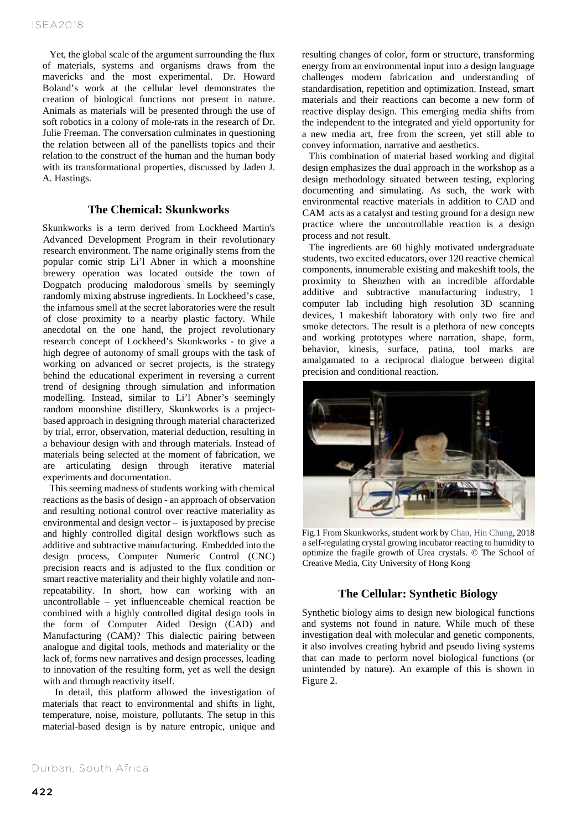Yet, the global scale of the argument surrounding the flux of materials, systems and organisms draws from the mavericks and the most experimental. Dr. Howard Boland's work at the cellular level demonstrates the creation of biological functions not present in nature. Animals as materials will be presented through the use of soft robotics in a colony of mole-rats in the research of Dr. Julie Freeman. The conversation culminates in questioning the relation between all of the panellists topics and their relation to the construct of the human and the human body with its transformational properties, discussed by Jaden J. A. Hastings.

## **The Chemical: Skunkworks**

Skunkworks is a term derived from Lockheed Martin's Advanced Development Program in their revolutionary research environment. The name originally stems from the popular comic strip Li'l Abner in which a moonshine brewery operation was located outside the town of Dogpatch producing malodorous smells by seemingly randomly mixing abstruse ingredients. In Lockheed's case, the infamous smell at the secret laboratories were the result of close proximity to a nearby plastic factory. While anecdotal on the one hand, the project revolutionary research concept of Lockheed's Skunkworks - to give a high degree of autonomy of small groups with the task of working on advanced or secret projects, is the strategy behind the educational experiment in reversing a current trend of designing through simulation and information modelling. Instead, similar to Li'l Abner's seemingly random moonshine distillery, Skunkworks is a projectbased approach in designing through material characterized by trial, error, observation, material deduction, resulting in a behaviour design with and through materials. Instead of materials being selected at the moment of fabrication, we are articulating design through iterative material experiments and documentation.

This seeming madness of students working with chemical reactions as the basis of design - an approach of observation and resulting notional control over reactive materiality as environmental and design vector – is juxtaposed by precise and highly controlled digital design workflows such as additive and subtractive manufacturing. Embedded into the design process, Computer Numeric Control (CNC) precision reacts and is adjusted to the flux condition or smart reactive materiality and their highly volatile and nonrepeatability. In short, how can working with an uncontrollable – yet influenceable chemical reaction be combined with a highly controlled digital design tools in the form of Computer Aided Design (CAD) and Manufacturing (CAM)? This dialectic pairing between analogue and digital tools, methods and materiality or the lack of, forms new narratives and design processes, leading to innovation of the resulting form, yet as well the design with and through reactivity itself.

In detail, this platform allowed the investigation of materials that react to environmental and shifts in light, temperature, noise, moisture, pollutants. The setup in this material-based design is by nature entropic, unique and

resulting changes of color, form or structure, transforming energy from an environmental input into a design language challenges modern fabrication and understanding of standardisation, repetition and optimization. Instead, smart materials and their reactions can become a new form of reactive display design. This emerging media shifts from the independent to the integrated and yield opportunity for a new media art, free from the screen, yet still able to convey information, narrative and aesthetics.

This combination of material based working and digital design emphasizes the dual approach in the workshop as a design methodology situated between testing, exploring documenting and simulating. As such, the work with environmental reactive materials in addition to CAD and CAM acts as a catalyst and testing ground for a design new practice where the uncontrollable reaction is a design process and not result.

The ingredients are 60 highly motivated undergraduate students, two excited educators, over 120 reactive chemical components, innumerable existing and makeshift tools, the proximity to Shenzhen with an incredible affordable additive and subtractive manufacturing industry, 1 computer lab including high resolution 3D scanning devices, 1 makeshift laboratory with only two fire and smoke detectors. The result is a plethora of new concepts and working prototypes where narration, shape, form, behavior, kinesis, surface, patina, tool marks are amalgamated to a reciprocal dialogue between digital precision and conditional reaction.



Fig.1 From Skunkworks, student work by Chan, Hin Chung, 2018 a self-regulating crystal growing incubator reacting to humidity to optimize the fragile growth of Urea crystals. © The School of Creative Media, City University of Hong Kong

#### **The Cellular: Synthetic Biology**

Synthetic biology aims to design new biological functions and systems not found in nature. While much of these investigation deal with molecular and genetic components, it also involves creating hybrid and pseudo living systems that can made to perform novel biological functions (or unintended by nature). An example of this is shown in Figure 2.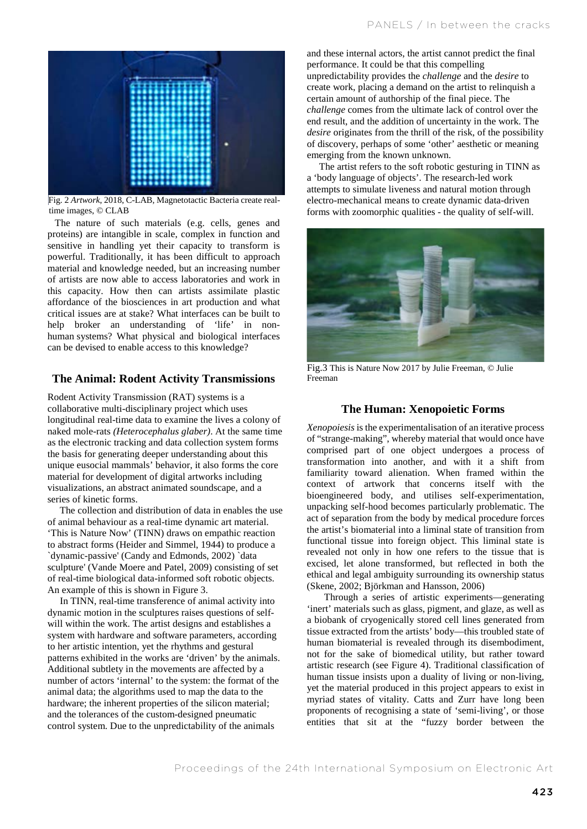

Fig. 2 *Artwork*, 2018, C-LAB, Magnetotactic Bacteria create realtime images, © CLAB

The nature of such materials (e.g. cells, genes and proteins) are intangible in scale, complex in function and sensitive in handling yet their capacity to transform is powerful. Traditionally, it has been difficult to approach material and knowledge needed, but an increasing number of artists are now able to access laboratories and work in this capacity. How then can artists assimilate plastic affordance of the biosciences in art production and what critical issues are at stake? What interfaces can be built to help broker an understanding of 'life' in nonhuman systems? What physical and biological interfaces can be devised to enable access to this knowledge?

# **The Animal: Rodent Activity Transmissions**

Rodent Activity Transmission (RAT) systems is a collaborative multi-disciplinary project which uses longitudinal real-time data to examine the lives a colony of naked mole-rats *(Heterocephalus glaber)*. At the same time as the electronic tracking and data collection system forms the basis for generating deeper understanding about this unique eusocial mammals' behavior, it also forms the core material for development of digital artworks including visualizations, an abstract animated soundscape, and a series of kinetic forms.

The collection and distribution of data in enables the use of animal behaviour as a real-time dynamic art material. 'This is Nature Now' (TINN) draws on empathic reaction to abstract forms (Heider and Simmel, 1944) to produce a `dynamic-passive' (Candy and Edmonds, 2002) `data sculpture' (Vande Moere and Patel, 2009) consisting of set of real-time biological data-informed soft robotic objects. An example of this is shown in Figure 3.

In TINN, real-time transference of animal activity into dynamic motion in the sculptures raises questions of selfwill within the work. The artist designs and establishes a system with hardware and software parameters, according to her artistic intention, yet the rhythms and gestural patterns exhibited in the works are 'driven' by the animals. Additional subtlety in the movements are affected by a number of actors 'internal' to the system: the format of the animal data; the algorithms used to map the data to the hardware; the inherent properties of the silicon material; and the tolerances of the custom-designed pneumatic control system. Due to the unpredictability of the animals

and these internal actors, the artist cannot predict the final performance. It could be that this compelling unpredictability provides the *challenge* and the *desire* to create work, placing a demand on the artist to relinquish a certain amount of authorship of the final piece. The *challenge* comes from the ultimate lack of control over the end result, and the addition of uncertainty in the work. The *desire* originates from the thrill of the risk, of the possibility of discovery, perhaps of some 'other' aesthetic or meaning emerging from the known unknown.

The artist refers to the soft robotic gesturing in TINN as a 'body language of objects'. The research-led work attempts to simulate liveness and natural motion through electro-mechanical means to create dynamic data-driven forms with zoomorphic qualities - the quality of self-will.



Fig.3 This is Nature Now 2017 by Julie Freeman, © Julie Freeman

## **The Human: Xenopoietic Forms**

*Xenopoiesis* is the experimentalisation of an iterative process of "strange-making", whereby material that would once have comprised part of one object undergoes a process of transformation into another, and with it a shift from familiarity toward alienation. When framed within the context of artwork that concerns itself with the bioengineered body, and utilises self-experimentation, unpacking self-hood becomes particularly problematic. The act of separation from the body by medical procedure forces the artist's biomaterial into a liminal state of transition from functional tissue into foreign object. This liminal state is revealed not only in how one refers to the tissue that is excised, let alone transformed, but reflected in both the ethical and legal ambiguity surrounding its ownership status (Skene, 2002; Björkman and Hansson, 2006)

Through a series of artistic experiments—generating 'inert' materials such as glass, pigment, and glaze, as well as a biobank of cryogenically stored cell lines generated from tissue extracted from the artists' body—this troubled state of human biomaterial is revealed through its disembodiment, not for the sake of biomedical utility, but rather toward artistic research (see Figure 4). Traditional classification of human tissue insists upon a duality of living or non-living, yet the material produced in this project appears to exist in myriad states of vitality. Catts and Zurr have long been proponents of recognising a state of 'semi-living', or those entities that sit at the "fuzzy border between the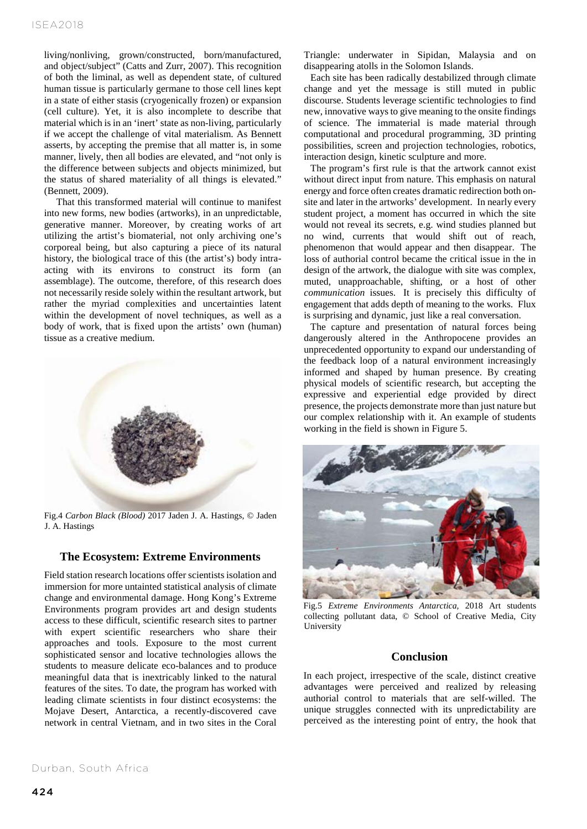living/nonliving, grown/constructed, born/manufactured, and object/subject" (Catts and Zurr, 2007). This recognition of both the liminal, as well as dependent state, of cultured human tissue is particularly germane to those cell lines kept in a state of either stasis (cryogenically frozen) or expansion (cell culture). Yet, it is also incomplete to describe that material which is in an 'inert' state as non-living, particularly if we accept the challenge of vital materialism. As Bennett asserts, by accepting the premise that all matter is, in some manner, lively, then all bodies are elevated, and "not only is the difference between subjects and objects minimized, but the status of shared materiality of all things is elevated." (Bennett, 2009).

That this transformed material will continue to manifest into new forms, new bodies (artworks), in an unpredictable, generative manner. Moreover, by creating works of art utilizing the artist's biomaterial, not only archiving one's corporeal being, but also capturing a piece of its natural history, the biological trace of this (the artist's) body intraacting with its environs to construct its form (an assemblage). The outcome, therefore, of this research does not necessarily reside solely within the resultant artwork, but rather the myriad complexities and uncertainties latent within the development of novel techniques, as well as a body of work, that is fixed upon the artists' own (human) tissue as a creative medium.



Fig.4 *Carbon Black (Blood)* 2017 Jaden J. A. Hastings, © Jaden J. A. Hastings

### **The Ecosystem: Extreme Environments**

Field station research locations offer scientists isolation and immersion for more untainted statistical analysis of climate change and environmental damage. Hong Kong's Extreme Environments program provides art and design students access to these difficult, scientific research sites to partner with expert scientific researchers who share their approaches and tools. Exposure to the most current sophisticated sensor and locative technologies allows the students to measure delicate eco-balances and to produce meaningful data that is inextricably linked to the natural features of the sites. To date, the program has worked with leading climate scientists in four distinct ecosystems: the Mojave Desert, Antarctica, a recently-discovered cave network in central Vietnam, and in two sites in the Coral

Triangle: underwater in Sipidan, Malaysia and on disappearing atolls in the Solomon Islands.

Each site has been radically destabilized through climate change and yet the message is still muted in public discourse. Students leverage scientific technologies to find new, innovative ways to give meaning to the onsite findings of science. The immaterial is made material through computational and procedural programming, 3D printing possibilities, screen and projection technologies, robotics, interaction design, kinetic sculpture and more.

The program's first rule is that the artwork cannot exist without direct input from nature. This emphasis on natural energy and force often creates dramatic redirection both onsite and later in the artworks' development. In nearly every student project, a moment has occurred in which the site would not reveal its secrets, e.g. wind studies planned but no wind, currents that would shift out of reach, phenomenon that would appear and then disappear. The loss of authorial control became the critical issue in the in design of the artwork, the dialogue with site was complex, muted, unapproachable, shifting, or a host of other *communication* issues. It is precisely this difficulty of engagement that adds depth of meaning to the works. Flux is surprising and dynamic, just like a real conversation.

The capture and presentation of natural forces being dangerously altered in the Anthropocene provides an unprecedented opportunity to expand our understanding of the feedback loop of a natural environment increasingly informed and shaped by human presence. By creating physical models of scientific research, but accepting the expressive and experiential edge provided by direct presence, the projects demonstrate more than just nature but our complex relationship with it. An example of students working in the field is shown in Figure 5.



Fig.5 *Extreme Environments Antarctica,* 2018 Art students collecting pollutant data, © School of Creative Media, City **University** 

# **Conclusion**

In each project, irrespective of the scale, distinct creative advantages were perceived and realized by releasing authorial control to materials that are self-willed. The unique struggles connected with its unpredictability are perceived as the interesting point of entry, the hook that